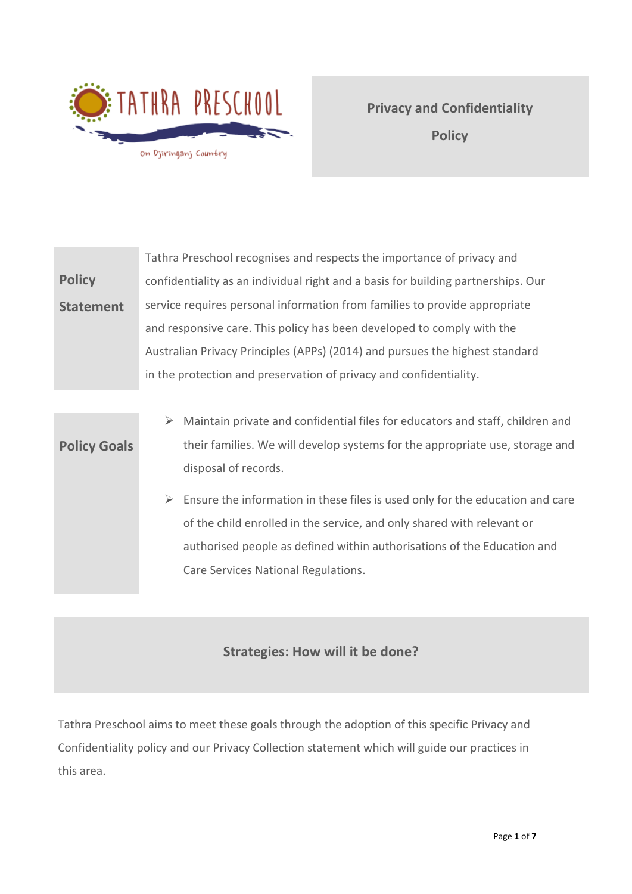

**Privacy and Confidentiality Policy**

**Policy Statement** Tathra Preschool recognises and respects the importance of privacy and confidentiality as an individual right and a basis for building partnerships. Our service requires personal information from families to provide appropriate and responsive care. This policy has been developed to comply with the Australian Privacy Principles (APPs) (2014) and pursues the highest standard in the protection and preservation of privacy and confidentiality.

## **Policy Goals** ➢ Maintain private and confidential files for educators and staff, children and their families. We will develop systems for the appropriate use, storage and disposal of records.

 $\triangleright$  Ensure the information in these files is used only for the education and care of the child enrolled in the service, and only shared with relevant or authorised people as defined within authorisations of the Education and Care Services National Regulations.

# **Strategies: How will it be done?**

Tathra Preschool aims to meet these goals through the adoption of this specific Privacy and Confidentiality policy and our Privacy Collection statement which will guide our practices in this area.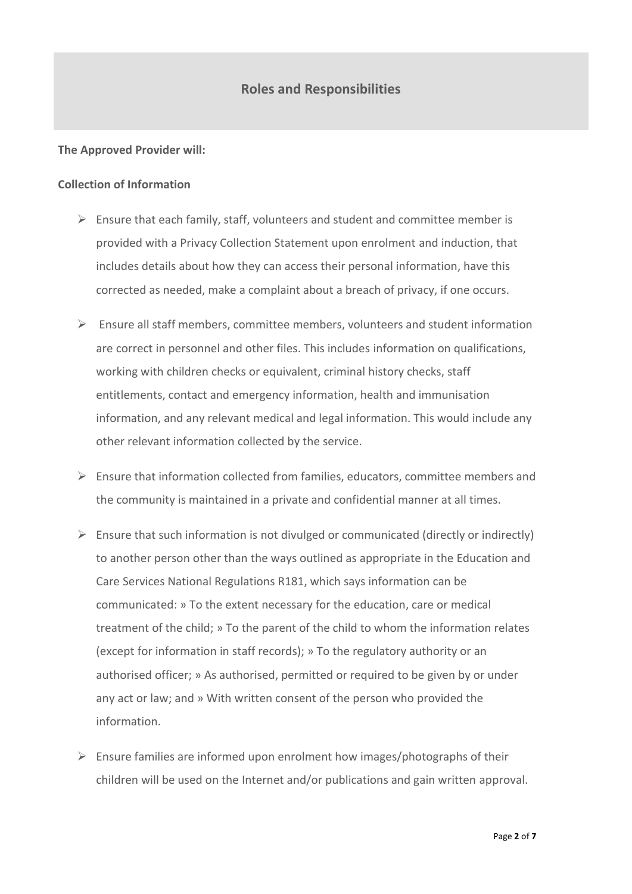## **Roles and Responsibilities**

#### **The Approved Provider will:**

### **Collection of Information**

- $\triangleright$  Ensure that each family, staff, volunteers and student and committee member is provided with a Privacy Collection Statement upon enrolment and induction, that includes details about how they can access their personal information, have this corrected as needed, make a complaint about a breach of privacy, if one occurs.
- $\triangleright$  Ensure all staff members, committee members, volunteers and student information are correct in personnel and other files. This includes information on qualifications, working with children checks or equivalent, criminal history checks, staff entitlements, contact and emergency information, health and immunisation information, and any relevant medical and legal information. This would include any other relevant information collected by the service.
- $\triangleright$  Ensure that information collected from families, educators, committee members and the community is maintained in a private and confidential manner at all times.
- $\triangleright$  Ensure that such information is not divulged or communicated (directly or indirectly) to another person other than the ways outlined as appropriate in the Education and Care Services National Regulations R181, which says information can be communicated: » To the extent necessary for the education, care or medical treatment of the child; » To the parent of the child to whom the information relates (except for information in staff records); » To the regulatory authority or an authorised officer; » As authorised, permitted or required to be given by or under any act or law; and » With written consent of the person who provided the information.
- $\triangleright$  Ensure families are informed upon enrolment how images/photographs of their children will be used on the Internet and/or publications and gain written approval.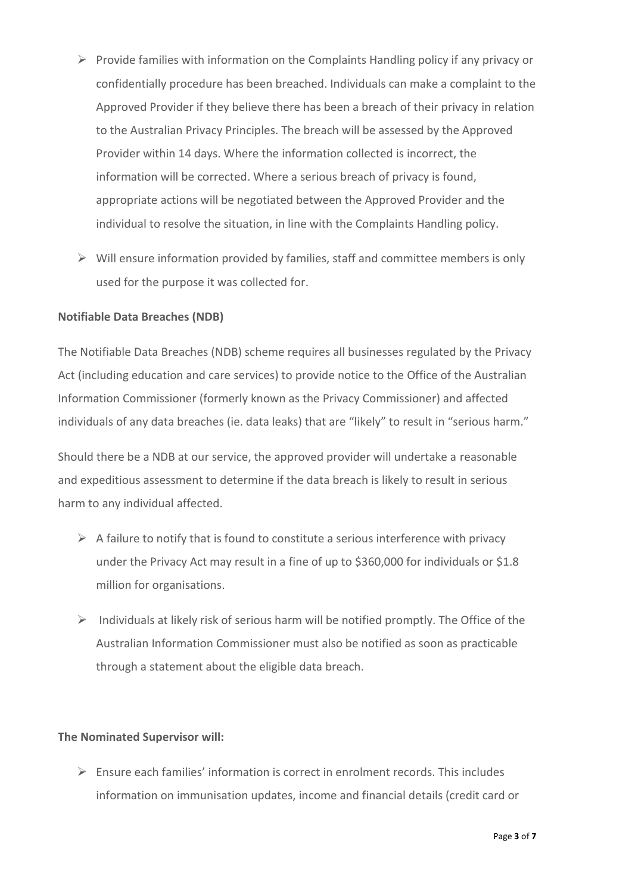- ➢ Provide families with information on the Complaints Handling policy if any privacy or confidentially procedure has been breached. Individuals can make a complaint to the Approved Provider if they believe there has been a breach of their privacy in relation to the Australian Privacy Principles. The breach will be assessed by the Approved Provider within 14 days. Where the information collected is incorrect, the information will be corrected. Where a serious breach of privacy is found, appropriate actions will be negotiated between the Approved Provider and the individual to resolve the situation, in line with the Complaints Handling policy.
- $\triangleright$  Will ensure information provided by families, staff and committee members is only used for the purpose it was collected for.

## **Notifiable Data Breaches (NDB)**

The Notifiable Data Breaches (NDB) scheme requires all businesses regulated by the Privacy Act (including education and care services) to provide notice to the Office of the Australian Information Commissioner (formerly known as the Privacy Commissioner) and affected individuals of any data breaches (ie. data leaks) that are "likely" to result in "serious harm."

Should there be a NDB at our service, the approved provider will undertake a reasonable and expeditious assessment to determine if the data breach is likely to result in serious harm to any individual affected.

- $\triangleright$  A failure to notify that is found to constitute a serious interference with privacy under the Privacy Act may result in a fine of up to \$360,000 for individuals or \$1.8 million for organisations.
- $\triangleright$  Individuals at likely risk of serious harm will be notified promptly. The Office of the Australian Information Commissioner must also be notified as soon as practicable through a statement about the eligible data breach.

### **The Nominated Supervisor will:**

 $\triangleright$  Ensure each families' information is correct in enrolment records. This includes information on immunisation updates, income and financial details (credit card or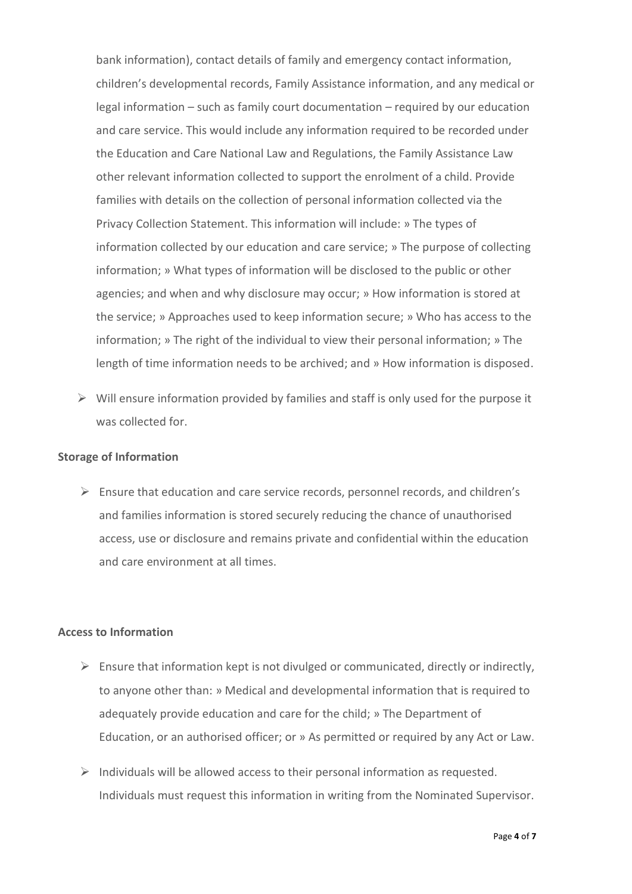bank information), contact details of family and emergency contact information, children's developmental records, Family Assistance information, and any medical or legal information – such as family court documentation – required by our education and care service. This would include any information required to be recorded under the Education and Care National Law and Regulations, the Family Assistance Law other relevant information collected to support the enrolment of a child. Provide families with details on the collection of personal information collected via the Privacy Collection Statement. This information will include: » The types of information collected by our education and care service; » The purpose of collecting information; » What types of information will be disclosed to the public or other agencies; and when and why disclosure may occur; » How information is stored at the service; » Approaches used to keep information secure; » Who has access to the information; » The right of the individual to view their personal information; » The length of time information needs to be archived; and » How information is disposed.

 $\triangleright$  Will ensure information provided by families and staff is only used for the purpose it was collected for.

#### **Storage of Information**

 $\triangleright$  Ensure that education and care service records, personnel records, and children's and families information is stored securely reducing the chance of unauthorised access, use or disclosure and remains private and confidential within the education and care environment at all times.

#### **Access to Information**

- $\triangleright$  Ensure that information kept is not divulged or communicated, directly or indirectly, to anyone other than: » Medical and developmental information that is required to adequately provide education and care for the child; » The Department of Education, or an authorised officer; or » As permitted or required by any Act or Law.
- $\triangleright$  Individuals will be allowed access to their personal information as requested. Individuals must request this information in writing from the Nominated Supervisor.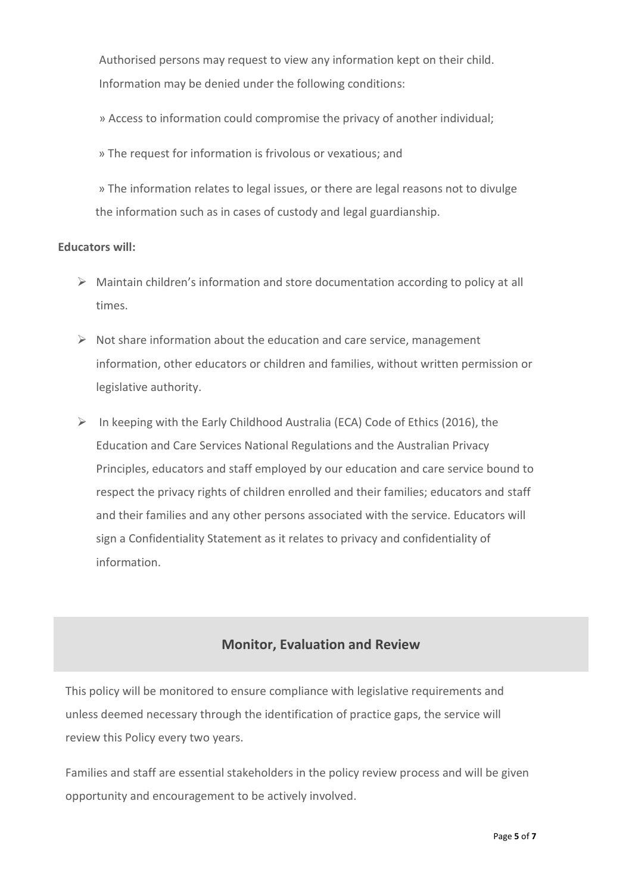Authorised persons may request to view any information kept on their child. Information may be denied under the following conditions:

» Access to information could compromise the privacy of another individual;

» The request for information is frivolous or vexatious; and

» The information relates to legal issues, or there are legal reasons not to divulge the information such as in cases of custody and legal guardianship.

### **Educators will:**

- ➢ Maintain children's information and store documentation according to policy at all times.
- $\triangleright$  Not share information about the education and care service, management information, other educators or children and families, without written permission or legislative authority.
- $\triangleright$  In keeping with the Early Childhood Australia (ECA) Code of Ethics (2016), the Education and Care Services National Regulations and the Australian Privacy Principles, educators and staff employed by our education and care service bound to respect the privacy rights of children enrolled and their families; educators and staff and their families and any other persons associated with the service. Educators will sign a Confidentiality Statement as it relates to privacy and confidentiality of information.

## **Monitor, Evaluation and Review**

This policy will be monitored to ensure compliance with legislative requirements and unless deemed necessary through the identification of practice gaps, the service will review this Policy every two years.

Families and staff are essential stakeholders in the policy review process and will be given opportunity and encouragement to be actively involved.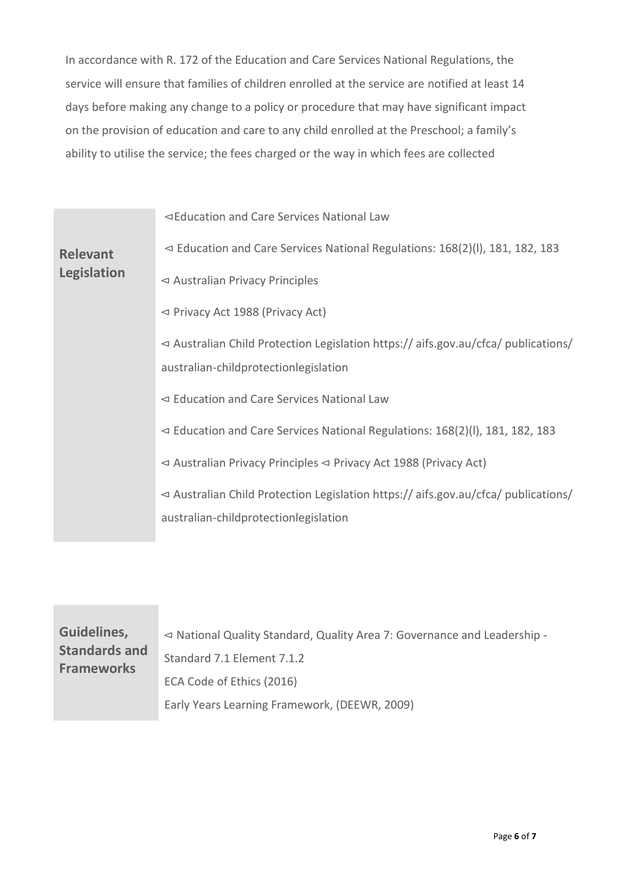In accordance with R. 172 of the Education and Care Services National Regulations, the service will ensure that families of children enrolled at the service are notified at least 14 days before making any change to a policy or procedure that may have significant impact on the provision of education and care to any child enrolled at the Preschool; a family's ability to utilise the service; the fees charged or the way in which fees are collected

|                                       | ⊲Education and Care Services National Law                                                       |
|---------------------------------------|-------------------------------------------------------------------------------------------------|
| <b>Relevant</b><br><b>Legislation</b> | $\leq$ Education and Care Services National Regulations: 168(2)(I), 181, 182, 183               |
|                                       | $\triangleleft$ Australian Privacy Principles                                                   |
|                                       | $\leq$ Privacy Act 1988 (Privacy Act)                                                           |
|                                       | $\triangleleft$ Australian Child Protection Legislation https://aifs.gov.au/cfca/ publications/ |
|                                       | australian-childprotectionlegislation                                                           |
|                                       | $\leq$ Education and Care Services National Law                                                 |
|                                       | $\leq$ Education and Care Services National Regulations: 168(2)(I), 181, 182, 183               |
|                                       | $\triangleleft$ Australian Privacy Principles $\triangleleft$ Privacy Act 1988 (Privacy Act)    |
|                                       | $\triangleleft$ Australian Child Protection Legislation https://aifs.gov.au/cfca/ publications/ |
|                                       | australian-childprotectionlegislation                                                           |

| Guidelines,<br><b>Standards and</b><br><b>Frameworks</b> | $\triangleleft$ National Quality Standard, Quality Area 7: Governance and Leadership -<br>Standard 7.1 Element 7.1.2<br>ECA Code of Ethics (2016) |
|----------------------------------------------------------|---------------------------------------------------------------------------------------------------------------------------------------------------|
|                                                          | Early Years Learning Framework, (DEEWR, 2009)                                                                                                     |